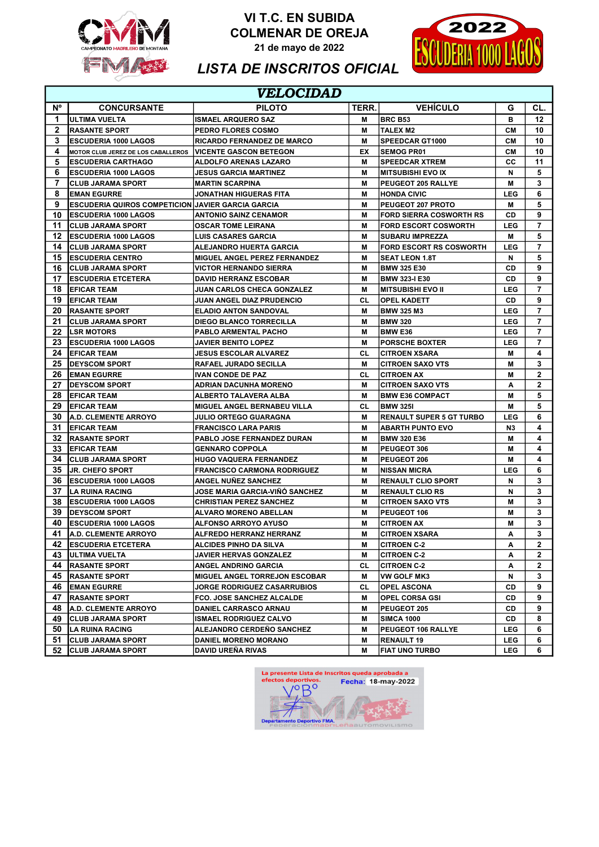

VI T.C. EN SUBIDA COLMENAR DE OREJA

21 de mayo de 2022



## LISTA DE INSCRITOS OFICIAL

|              | VELOCIDAD                                         |                                    |       |                                 |                |                         |  |
|--------------|---------------------------------------------------|------------------------------------|-------|---------------------------------|----------------|-------------------------|--|
| N°           | <b>CONCURSANTE</b>                                | <b>PILOTO</b>                      | TERR. | <b>VEHÍCULO</b>                 | G              | CL.                     |  |
| 1.           | ULTIMA VUELTA                                     | <b>ISMAEL ARQUERO SAZ</b>          | м     | <b>IBRC B53</b>                 | в              | 12                      |  |
| $\mathbf{2}$ | <b>RASANTE SPORT</b>                              | <b>PEDRO FLORES COSMO</b>          | м     | <b>TALEX M2</b>                 | CМ             | 10                      |  |
| 3            | <b>IESCUDERIA 1000 LAGOS</b>                      | <b>RICARDO FERNANDEZ DE MARCO</b>  | м     | <b>SPEEDCAR GT1000</b>          | <b>CM</b>      | 10                      |  |
| 4            | MOTOR CLUB JEREZ DE LOS CABALLEROS                | <b>IVICENTE GASCON BETEGON</b>     | EX    | <b>SEMOG PR01</b>               | CМ             | 10                      |  |
| 5            | <b>IESCUDERIA CARTHAGO</b>                        | <b>ALDOLFO ARENAS LAZARO</b>       | м     | <b>SPEEDCAR XTREM</b>           | cс             | 11                      |  |
| 6            | <b>IESCUDERIA 1000 LAGOS</b>                      | JESUS GARCIA MARTINEZ              | м     | <b>MITSUBISHI EVO IX</b>        | N              | 5                       |  |
| 7            | <b>CLUB JARAMA SPORT</b>                          | IMARTIN SCARPINA                   | м     | <b>PEUGEOT 205 RALLYE</b>       | м              | 3                       |  |
| 8            | <b>IEMAN EGURRE</b>                               | JONATHAN HIGUERAS FITA             | м     | <b>HONDA CIVIC</b>              | <b>LEG</b>     | 6                       |  |
| 9            | ESCUDERIA QUIROS COMPETICION JAVIER GARCIA GARCIA |                                    | м     | PEUGEOT 207 PROTO               | м              | 5                       |  |
| 10           | <b>IESCUDERIA 1000 LAGOS</b>                      | <b>ANTONIO SAINZ CENAMOR</b>       | М     | <b>FORD SIERRA COSWORTH RS</b>  | CD             | 9                       |  |
| 11           | <b>ICLUB JARAMA SPORT</b>                         | <b>OSCAR TOME LEIRANA</b>          | м     | <b>FORD ESCORT COSWORTH</b>     | <b>LEG</b>     | 7                       |  |
| 12           | <b>IESCUDERIA 1000 LAGOS</b>                      | <b>LUIS CASARES GARCIA</b>         | М     | <b>SUBARU IMPREZZA</b>          | м              | 5                       |  |
| 14           | <b>CLUB JARAMA SPORT</b>                          | ALEJANDRO HUERTA GARCIA            | м     | <b>FORD ESCORT RS COSWORTH</b>  | <b>LEG</b>     | $\overline{7}$          |  |
| 15           | <b>IESCUDERIA CENTRO</b>                          | MIGUEL ANGEL PEREZ FERNANDEZ       | м     | <b>SEAT LEON 1.8T</b>           | N              | 5                       |  |
| 16           | <b>ICLUB JARAMA SPORT</b>                         | <b>VICTOR HERNANDO SIERRA</b>      | м     | <b>BMW 325 E30</b>              | CD             | 9                       |  |
| 17           | <b> ESCUDERIA ETCETERA</b>                        | <b>DAVID HERRANZ ESCOBAR</b>       | М     | <b>BMW 323-I E30</b>            | CD             | 9                       |  |
| 18           | <b>EFICAR TEAM</b>                                | <b>JUAN CARLOS CHECA GONZALEZ</b>  | м     | <b>MITSUBISHI EVO II</b>        | <b>LEG</b>     | 7                       |  |
| 19           | <b>IEFICAR TEAM</b>                               | JUAN ANGEL DIAZ PRUDENCIO          | СL    | <b>OPEL KADETT</b>              | CD             | 9                       |  |
| 20           | <b>IRASANTE SPORT</b>                             | <b>ELADIO ANTON SANDOVAL</b>       | M     | <b>BMW 325 M3</b>               | <b>LEG</b>     | 7                       |  |
| 21           | <b>ICLUB JARAMA SPORT</b>                         | <b>DIEGO BLANCO TORRECILLA</b>     | М     | <b>BMW 320</b>                  | LEG            | $\overline{\mathbf{r}}$ |  |
| 22           | <b>ILSR MOTORS</b>                                | PABLO ARMENTAL PACHO               | м     | <b>BMW E36</b>                  | <b>LEG</b>     | 7                       |  |
| 23           | <b>IESCUDERIA 1000 LAGOS</b>                      | <b>JAVIER BENITO LOPEZ</b>         | М     | <b>PORSCHE BOXTER</b>           | <b>LEG</b>     | $\overline{7}$          |  |
| 24           | <b>EFICAR TEAM</b>                                | <b>JESUS ESCOLAR ALVAREZ</b>       | СL    | <b>CITROEN XSARA</b>            | м              | 4                       |  |
| 25           | <b>IDEYSCOM SPORT</b>                             | <b>RAFAEL JURADO SECILLA</b>       | м     | <b>CITROEN SAXO VTS</b>         | M              | 3                       |  |
| 26           | <b>EMAN EGURRE</b>                                | <b>IVAN CONDE DE PAZ</b>           | СL    | <b>CITROEN AX</b>               | M              | $\overline{2}$          |  |
| 27           | <b>IDEYSCOM SPORT</b>                             | <b>ADRIAN DACUNHA MORENO</b>       | м     | <b>CITROEN SAXO VTS</b>         | A              | 2                       |  |
| 28           | <b>IEFICAR TEAM</b>                               | <b>ALBERTO TALAVERA ALBA</b>       | м     | <b>BMW E36 COMPACT</b>          | М              | 5                       |  |
| 29           | <b>IEFICAR TEAM</b>                               | <b>MIGUEL ANGEL BERNABEU VILLA</b> | CL    | <b>BMW 3251</b>                 | М              | 5                       |  |
| 30           | <b>I</b> A.D. CLEMENTE ARROYO                     | JULIO ORTEGO GUARAGNA              | м     | <b>RENAULT SUPER 5 GT TURBO</b> | <b>LEG</b>     | 6                       |  |
| 31           | <b>IEFICAR TEAM</b>                               | <b>FRANCISCO LARA PARIS</b>        | м     | <b>ABARTH PUNTO EVO</b>         | N <sub>3</sub> | 4                       |  |
| 32           | <b>IRASANTE SPORT</b>                             | PABLO JOSE FERNANDEZ DURAN         | м     | <b>BMW 320 E36</b>              | м              | 4                       |  |
| 33           | <b>EFICAR TEAM</b>                                | <b>GENNARO COPPOLA</b>             | М     | <b>PEUGEOT 306</b>              | M              | 4                       |  |
| 34           | <b>CLUB JARAMA SPORT</b>                          | HUGO VAQUERA FERNANDEZ             | м     | <b>PEUGEOT 206</b>              | Μ              | 4                       |  |
| 35           | <b>JR. CHEFO SPORT</b>                            | <b>FRANCISCO CARMONA RODRIGUEZ</b> | М     | <b>NISSAN MICRA</b>             | <b>LEG</b>     | 6                       |  |
| 36           | <b>IESCUDERIA 1000 LAGOS</b>                      | <b>ANGEL NUÑEZ SANCHEZ</b>         | М     | <b>RENAULT CLIO SPORT</b>       | N              | 3                       |  |
| 37           | LA RUINA RACING                                   | JOSE MARIA GARCIA-VIÑO SANCHEZ     | М     | <b>RENAULT CLIO RS</b>          | N              | 3                       |  |
| 38           | <b>IESCUDERIA 1000 LAGOS</b>                      | <b>CHRISTIAN PEREZ SANCHEZ</b>     | М     | <b>CITROEN SAXO VTS</b>         | М              | 3                       |  |
| 39           | <b>IDEYSCOM SPORT</b>                             | <b>ALVARO MORENO ABELLAN</b>       | м     | PEUGEOT 106                     | M              | 3                       |  |
| 40           | <b>IESCUDERIA 1000 LAGOS</b>                      | <b>ALFONSO ARROYO AYUSO</b>        | М     | <b>CITROEN AX</b>               | М              | 3                       |  |
| 41           | <b>A.D. CLEMENTE ARROYO</b>                       | <b>ALFREDO HERRANZ HERRANZ</b>     | М     | <b>CITROEN XSARA</b>            | A              | 3                       |  |
|              | 42 ESCUDERIA ETCETERA                             | ALCIDES PINHO DA SILVA             | м     | <b>CITROEN C-2</b>              | Α              | 2                       |  |
| 43           | <b>JULTIMA VUELTA</b>                             | JAVIER HERVAS GONZALEZ             | М     | <b>CITROEN C-2</b>              | Α              | 2                       |  |
|              | 44 RASANTE SPORT                                  | ANGEL ANDRINO GARCIA               | CL    | <b>CITROEN C-2</b>              | Α              | 2                       |  |
|              | 45 RASANTE SPORT                                  | MIGUEL ANGEL TORREJON ESCOBAR      | м     | <b>VW GOLF MK3</b>              | N              | 3                       |  |
|              | <b>46 EMAN EGURRE</b>                             | <b>JORGE RODRIGUEZ CASARRUBIOS</b> | СL    | <b>OPEL ASCONA</b>              | CD             | 9                       |  |
| 47           | <b>RASANTE SPORT</b>                              | FCO. JOSE SANCHEZ ALCALDE          | м     | <b>OPEL CORSA GSI</b>           | CD             | 9                       |  |
| 48           | <b>A.D. CLEMENTE ARROYO</b>                       | <b>DANIEL CARRASCO ARNAU</b>       | м     | PEUGEOT 205                     | CD             | 9                       |  |
| 49           | <b>CLUB JARAMA SPORT</b>                          | <b>ISMAEL RODRIGUEZ CALVO</b>      | M     | <b>SIMCA 1000</b>               | CD             | 8                       |  |
|              | 50   LA RUINA RACING                              | ALEJANDRO CERDEÑO SANCHEZ          | м     | PEUGEOT 106 RALLYE              | <b>LEG</b>     | 6                       |  |
| 51           | <b>CLUB JARAMA SPORT</b>                          | <b>DANIEL MORENO MORANO</b>        | M     | <b>RENAULT 19</b>               | <b>LEG</b>     | 6                       |  |
| 52           | <b>CLUB JARAMA SPORT</b>                          | DAVID UREÑA RIVAS                  | м     | <b>FIAT UNO TURBO</b>           | <b>LEG</b>     | 6                       |  |